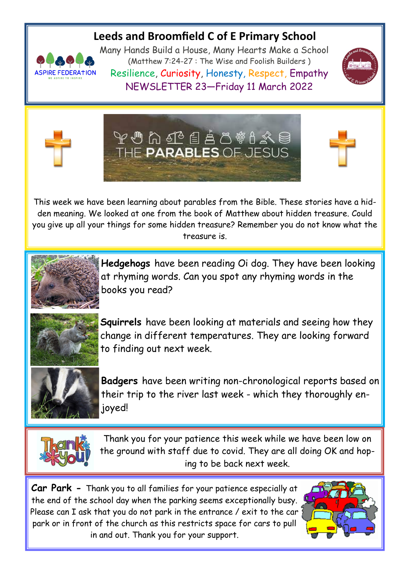# **Leeds and Broomfield C of E Primary School**



Many Hands Build a House, Many Hearts Make a School (Matthew 7:24-27 : The Wise and Foolish Builders ) Resilience, Curiosity, Honesty, Respect, Empathy NEWSLETTER 23—Friday 11 March 2022







This week we have been learning about parables from the Bible. These stories have a hidden meaning. We looked at one from the book of Matthew about hidden treasure. Could you give up all your things for some hidden treasure? Remember you do not know what the treasure is.



**Hedgehogs** have been reading Oi dog. They have been looking at rhyming words. Can you spot any rhyming words in the books you read?



**Squirrels** have been looking at materials and seeing how they change in different temperatures. They are looking forward to finding out next week.



**Badgers** have been writing non-chronological reports based on their trip to the river last week - which they thoroughly enjoyed!



Thank you for your patience this week while we have been low on the ground with staff due to covid. They are all doing OK and hoping to be back next week.

**Car Park -** Thank you to all families for your patience especially at the end of the school day when the parking seems exceptionally busy. Please can I ask that you do not park in the entrance / exit to the car park or in front of the church as this restricts space for cars to pull in and out. Thank you for your support.

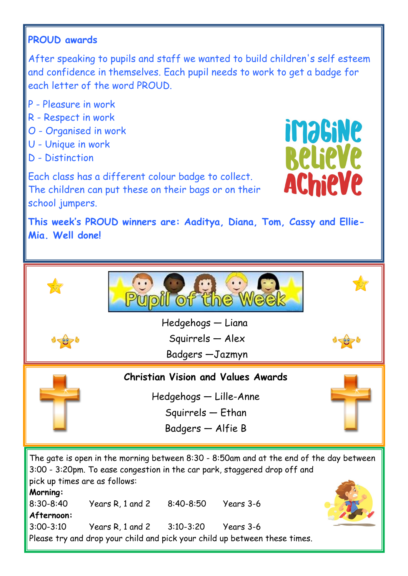## **PROUD awards**

After speaking to pupils and staff we wanted to build children's self esteem and confidence in themselves. Each pupil needs to work to get a badge for each letter of the word PROUD.

- P Pleasure in work
- R Respect in work
- O Organised in work
- U Unique in work
- D Distinction

**imaGiNe BelieVe AChieVe** 

Each class has a different colour badge to collect. The children can put these on their bags or on their school jumpers.

**This week's PROUD winners are: Aaditya, Diana, Tom, Cassy and Ellie-Mia. Well done!**



8:30-8:40 Years R, 1 and 2 8:40-8:50 Years 3-6 **Afternoon:** 3:00-3:10 Years R, 1 and 2 3:10-3:20 Years 3-6 Please try and drop your child and pick your child up between these times.

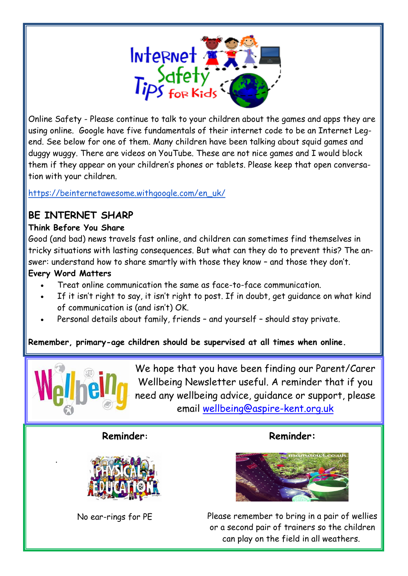

Online Safety - Please continue to talk to your children about the games and apps they are using online. Google have five fundamentals of their internet code to be an Internet Legend. See below for one of them. Many children have been talking about squid games and duggy wuggy. There are videos on YouTube. These are not nice games and I would block them if they appear on your children's phones or tablets. Please keep that open conversation with your children.

[https://beinternetawesome.withgoogle.com/en\\_uk/](https://beinternetawesome.withgoogle.com/en_uk/)

### **BE INTERNET SHARP**

#### **Think Before You Share**

Good (and bad) news travels fast online, and children can sometimes find themselves in tricky situations with lasting consequences. But what can they do to prevent this? The answer: understand how to share smartly with those they know – and those they don't.

#### **Every Word Matters**

- Treat online communication the same as face-to-face communication.
- If it isn't right to say, it isn't right to post. If in doubt, get guidance on what kind of communication is (and isn't) OK.
- Personal details about family, friends and yourself should stay private.

**Remember, primary-age children should be supervised at all times when online.**



.

We hope that you have been finding our Parent/Carer Wellbeing Newsletter useful. A reminder that if you need any wellbeing advice, guidance or support, please email [wellbeing@aspire-kent.org.uk](mailto:wellbeing@aspire-kent.org.uk)

### **Reminder:**



No ear-rings for PE

### **Reminder:**



Please remember to bring in a pair of wellies or a second pair of trainers so the children can play on the field in all weathers.